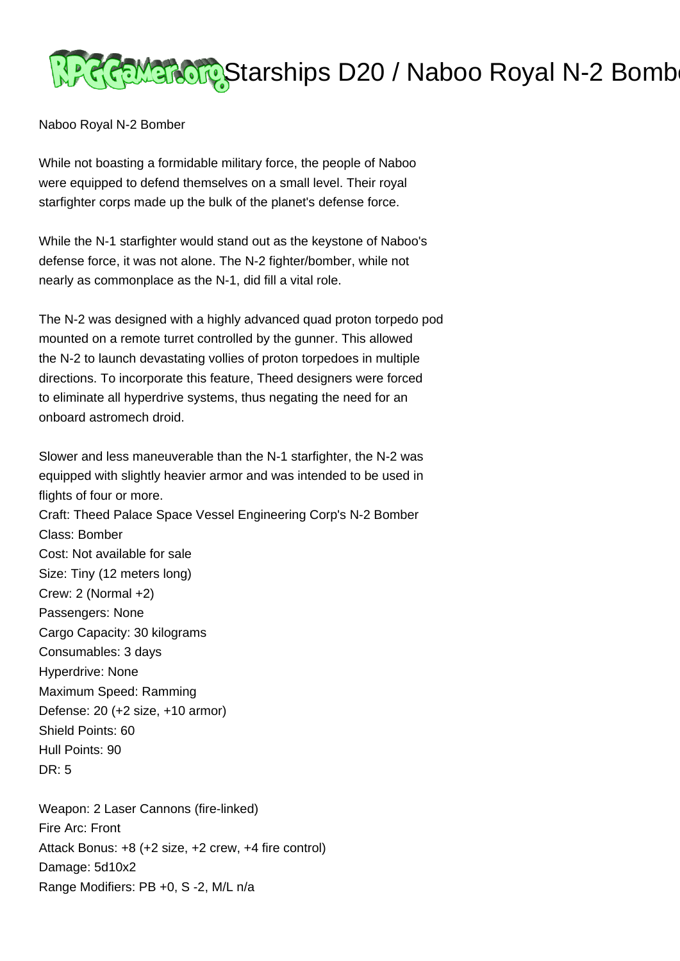

Naboo Royal N-2 Bomber

While not boasting a formidable military force, the people of Naboo were equipped to defend themselves on a small level. Their royal starfighter corps made up the bulk of the planet's defense force.

While the N-1 starfighter would stand out as the keystone of Naboo's defense force, it was not alone. The N-2 fighter/bomber, while not nearly as commonplace as the N-1, did fill a vital role.

The N-2 was designed with a highly advanced quad proton torpedo pod mounted on a remote turret controlled by the gunner. This allowed the N-2 to launch devastating vollies of proton torpedoes in multiple directions. To incorporate this feature, Theed designers were forced to eliminate all hyperdrive systems, thus negating the need for an onboard astromech droid.

Slower and less maneuverable than the N-1 starfighter, the N-2 was equipped with slightly heavier armor and was intended to be used in flights of four or more. Craft: Theed Palace Space Vessel Engineering Corp's N-2 Bomber Class: Bomber Cost: Not available for sale Size: Tiny (12 meters long) Crew: 2 (Normal +2) Passengers: None Cargo Capacity: 30 kilograms Consumables: 3 days Hyperdrive: None Maximum Speed: Ramming Defense: 20 (+2 size, +10 armor) Shield Points: 60 Hull Points: 90  $DR: 5$ 

Weapon: 2 Laser Cannons (fire-linked) Fire Arc: Front Attack Bonus: +8 (+2 size, +2 crew, +4 fire control) Damage: 5d10x2 Range Modifiers: PB +0, S -2, M/L n/a